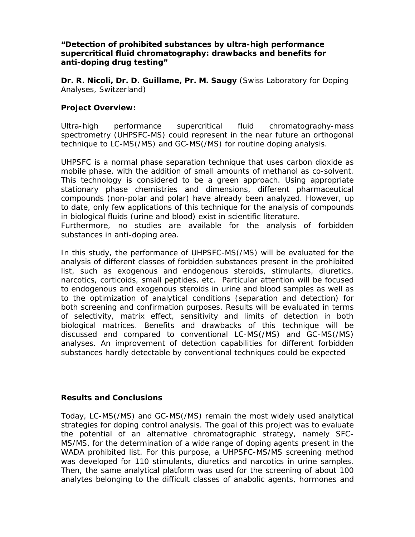## *"***Detection of prohibited substances by ultra-high performance supercritical fluid chromatography: drawbacks and benefits for anti-doping drug testing***"*

**Dr. R. Nicoli, Dr. D. Guillame, Pr. M. Saugy** (Swiss Laboratory for Doping Analyses, Switzerland)

## **Project Overview:**

Ultra-high performance supercritical fluid chromatography-mass spectrometry (UHPSFC-MS) could represent in the near future an orthogonal technique to LC-MS(/MS) and GC-MS(/MS) for routine doping analysis.

UHPSFC is a normal phase separation technique that uses carbon dioxide as mobile phase, with the addition of small amounts of methanol as co-solvent. This technology is considered to be a green approach. Using appropriate stationary phase chemistries and dimensions, different pharmaceutical compounds (non-polar and polar) have already been analyzed. However, up to date, only few applications of this technique for the analysis of compounds in biological fluids (urine and blood) exist in scientific literature.

Furthermore, no studies are available for the analysis of forbidden substances in anti-doping area.

In this study, the performance of UHPSFC-MS(/MS) will be evaluated for the analysis of different classes of forbidden substances present in the prohibited list, such as exogenous and endogenous steroids, stimulants, diuretics, narcotics, corticoids, small peptides, etc. Particular attention will be focused to endogenous and exogenous steroids in urine and blood samples as well as to the optimization of analytical conditions (separation and detection) for both screening and confirmation purposes. Results will be evaluated in terms of selectivity, matrix effect, sensitivity and limits of detection in both biological matrices. Benefits and drawbacks of this technique will be discussed and compared to conventional LC-MS(/MS) and GC-MS(/MS) analyses. An improvement of detection capabilities for different forbidden substances hardly detectable by conventional techniques could be expected

## **Results and Conclusions**

Today, LC-MS(/MS) and GC-MS(/MS) remain the most widely used analytical strategies for doping control analysis. The goal of this project was to evaluate the potential of an alternative chromatographic strategy, namely SFC-MS/MS, for the determination of a wide range of doping agents present in the WADA prohibited list. For this purpose, a UHPSFC-MS/MS screening method was developed for 110 stimulants, diuretics and narcotics in urine samples. Then, the same analytical platform was used for the screening of about 100 analytes belonging to the difficult classes of anabolic agents, hormones and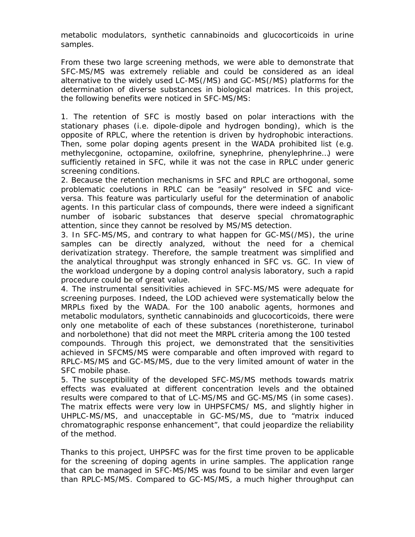metabolic modulators, synthetic cannabinoids and glucocorticoids in urine samples.

From these two large screening methods, we were able to demonstrate that SFC-MS/MS was extremely reliable and could be considered as an ideal alternative to the widely used LC-MS(/MS) and GC-MS(/MS) platforms for the determination of diverse substances in biological matrices. In this project, the following benefits were noticed in SFC-MS/MS:

1. The retention of SFC is mostly based on polar interactions with the stationary phases (i.e. dipole-dipole and hydrogen bonding), which is the opposite of RPLC, where the retention is driven by hydrophobic interactions. Then, some polar doping agents present in the WADA prohibited list (e.g. methylecgonine, octopamine, oxilofrine, synephrine, phenylephrine…) were sufficiently retained in SFC, while it was not the case in RPLC under generic screening conditions.

2. Because the retention mechanisms in SFC and RPLC are orthogonal, some problematic coelutions in RPLC can be "easily" resolved in SFC and *viceversa*. This feature was particularly useful for the determination of anabolic agents. In this particular class of compounds, there were indeed a significant number of isobaric substances that deserve special chromatographic attention, since they cannot be resolved by MS/MS detection.

3. In SFC-MS/MS, and contrary to what happen for GC-MS(/MS), the urine samples can be directly analyzed, without the need for a chemical derivatization strategy. Therefore, the sample treatment was simplified and the analytical throughput was strongly enhanced in SFC vs. GC. In view of the workload undergone by a doping control analysis laboratory, such a rapid procedure could be of great value.

4. The instrumental sensitivities achieved in SFC-MS/MS were adequate for screening purposes. Indeed, the LOD achieved were systematically below the MRPLs fixed by the WADA. For the 100 anabolic agents, hormones and metabolic modulators, synthetic cannabinoids and glucocorticoids, there were only one metabolite of each of these substances (norethisterone, turinabol and norbolethone) that did not meet the MRPL criteria among the 100 tested compounds. Through this project, we demonstrated that the sensitivities achieved in SFCMS/MS were comparable and often improved with regard to RPLC-MS/MS and GC-MS/MS, due to the very limited amount of water in the SFC mobile phase.

5. The susceptibility of the developed SFC-MS/MS methods towards matrix effects was evaluated at different concentration levels and the obtained results were compared to that of LC-MS/MS and GC-MS/MS (in some cases). The matrix effects were very low in UHPSFCMS/ MS, and slightly higher in UHPLC-MS/MS, and unacceptable in GC-MS/MS, due to "matrix induced chromatographic response enhancement", that could jeopardize the reliability of the method.

Thanks to this project, UHPSFC was for the first time proven to be applicable for the screening of doping agents in urine samples. The application range that can be managed in SFC-MS/MS was found to be similar and even larger than RPLC-MS/MS. Compared to GC-MS/MS, a much higher throughput can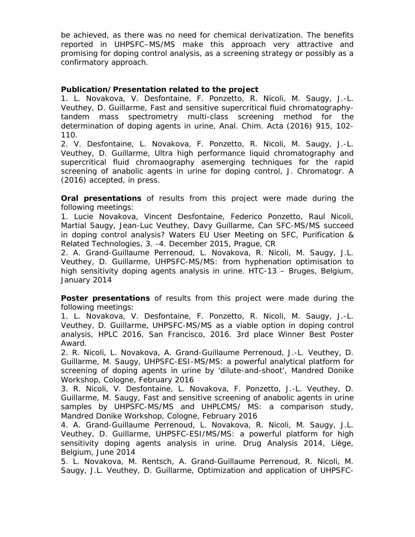be achieved, as there was no need for chemical derivatization. The benefits reported in UHPSFC–MS/MS make this approach very attractive and promising for doping control analysis, as a screening strategy or possibly as a confirmatory approach.

## **Publication/Presentation related to the project**

1. L. Novakova, V. Desfontaine, F. Ponzetto, R. Nicoli, M. Saugy, J.-L. Veuthey, D. Guillarme, *Fast and sensitive supercritical fluid chromatographytandem mass spectrometry multi-class screening method for the determination of doping agents in urine*, Anal. Chim. Acta (2016) 915, 102- 110.

2. V. Desfontaine, L. Novakova, F. Ponzetto, R. Nicoli, M. Saugy, J.-L. Veuthey, D. Guillarme, *Ultra high performance liquid chromatography and supercritical fluid chromaography asemerging techniques for the rapid screening of anabolic agents in urine for doping control*, J. Chromatogr. A (2016) accepted, in press.

**Oral presentations** of results from this project were made during the following meetings:

1. Lucie Novakova, Vincent Desfontaine, Federico Ponzetto, Raul Nicoli, Martial Saugy, Jean-Luc Veuthey, Davy Guillarme, *Can SFC-MS/MS succeed in doping control analysis?* Waters EU User Meeting on SFC, Purification & Related Technologies, 3. -4. December 2015, Prague, CR

2. A. Grand-Guillaume Perrenoud, L. Novakova, R. Nicoli, M. Saugy, J.L. Veuthey, D. Guillarme, *UHPSFC-MS/MS: from hyphenation optimisation to high sensitivity doping agents analysis in urine.* HTC-13 – Bruges, Belgium, January 2014

**Poster presentations** of results from this project were made during the following meetings:

1. L. Novakova, V. Desfontaine, F. Ponzetto, R. Nicoli, M. Saugy, J.-L. Veuthey, D. Guillarme, *UHPSFC-MS/MS as a viable option in doping control analysis,* HPLC 2016, San Francisco, 2016. 3rd place Winner Best Poster Award.

2. R. Nicoli, L. Novakova, A. Grand-Guillaume Perrenoud, J.-L. Veuthey, D. Guillarme, M. Saugy, *UHPSFC-ESI-MS/MS: a powerful analytical platform for screening of doping agents in urine by 'dilute-and-shoot',* Mandred Donike Workshop, Cologne, February 2016

3. R. Nicoli, V. Desfontaine, L. Novakova, F. Ponzetto, J.-L. Veuthey, D. Guillarme, M. Saugy, *Fast and sensitive screening of anabolic agents in urine samples by UHPSFC-MS/MS and UHPLCMS/ MS: a comparison study,*  Mandred Donike Workshop, Cologne, February 2016

4. A. Grand-Guillaume Perrenoud, L. Novakova, R. Nicoli, M. Saugy, J.L. Veuthey, D. Guillarme, *UHPSFC-ESI/MS/MS: a powerful platform for high sensitivity doping agents analysis in urine.* Drug Analysis 2014, Liège, Belgium, June 2014

5. L. Novakova, M. Rentsch, A. Grand-Guillaume Perrenoud, R. Nicoli, M. Saugy, J.L. Veuthey, D. Guillarme, *Optimization and application of UHPSFC-*